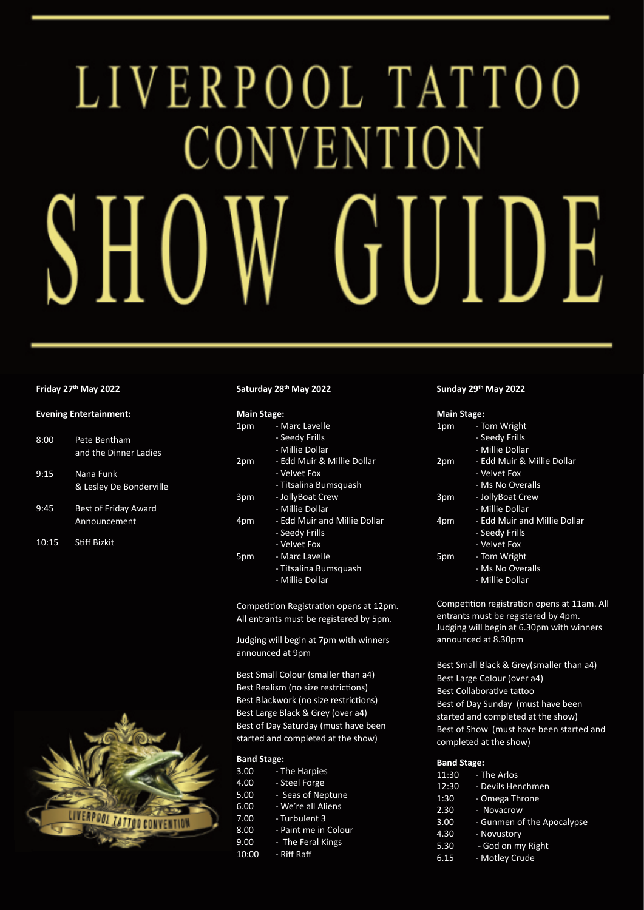# LIVERPOOL TATTOO CONVENTION  $S$ HO GUIDE

## **Friday 27th May 2022**

#### **Evening Entertainment:**

- 8:00 Pete Bentham and the Dinner Ladies
- 9:15 Nana Funk & Lesley De Bonderville
- 9:45 Best of Friday Award Announcement
- 10:15 Stiff Bizkit



# **Saturday 28th May 2022**

| <b>Main Stage:</b> |                              |
|--------------------|------------------------------|
| 1pm                | - Marc Lavelle               |
|                    | - Seedy Frills               |
|                    | - Millie Dollar              |
| 2pm                | - Edd Muir & Millie Dollar   |
|                    | - Velvet Fox                 |
|                    | - Titsalina Bumsquash        |
| 3pm                | - JollyBoat Crew             |
|                    | - Millie Dollar              |
| 4pm                | - Edd Muir and Millie Dollar |
|                    | - Seedy Frills               |
|                    | - Velvet Fox                 |
| 5pm                | - Marc Lavelle               |
|                    | - Titsalina Bumsquash        |
|                    | - Millie Dollar              |

Competition Registration opens at 12pm. All entrants must be registered by 5pm.

Judging will begin at 7pm with winners announced at 9pm

Best Small Colour (smaller than a4) Best Realism (no size restrictions) Best Blackwork (no size restrictions) Best Large Black & Grey (over a4) Best of Day Saturday (must have been started and completed at the show)

# **Band Stage:**

- 3.00 The Harpies 4.00 - Steel Forge
- 5.00 Seas of Neptune
- 6.00 We're all Aliens
- 7.00 Turbulent 3
- 8.00 Paint me in Colour
- 9.00 The Feral Kings
- 10:00 Riff Raff

## **Sunday 29th May 2022**

#### **Main Stage:**

| 1pm | - Tom Wright                 |
|-----|------------------------------|
|     | - Seedy Frills               |
|     | - Millie Dollar              |
| 2pm | - Edd Muir & Millie Dollar   |
|     | - Velvet Fox                 |
|     | - Ms No Overalls             |
| 3pm | - JollyBoat Crew             |
|     | - Millie Dollar              |
| 4pm | - Edd Muir and Millie Dollar |
|     | - Seedy Frills               |
|     | - Velvet Fox                 |
| 5pm | - Tom Wright                 |
|     | - Ms No Overalls             |
|     | - Millie Dollar              |

Competition registration opens at 11am. All entrants must be registered by 4pm. Judging will begin at 6.30pm with winners announced at 8.30pm

Best Small Black & Grey(smaller than a4) Best Large Colour (over a4) Best Collaborative tattoo Best of Day Sunday (must have been started and completed at the show) Best of Show (must have been started and completed at the show)

### **Band Stage:**

| 11:30 | - The Arlos                |
|-------|----------------------------|
| 12:30 | - Devils Henchmen          |
| 1:30  | - Omega Throne             |
| 2.30  | - Novacrow                 |
| 3.00  | - Gunmen of the Apocalypse |
| 4.30  | - Novustory                |
| 5.30  | - God on my Right          |
|       |                            |

- 6.15 Motley Crude
	-